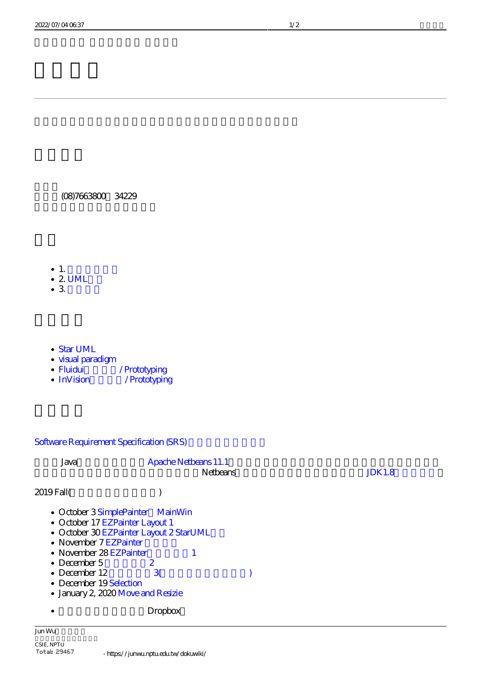(08)7663800 34229

- $\cdot$  1.  $\cdot$  2. UML
- $\bullet$  3.
- [Star UML](http://staruml.io/)
- [visual paradigm](https://www.visual-paradigm.com/)
- Fluidui / Prototyping
- InVision / Prototyping

# Software Requirement Specification (SRS)

| Java                                                                                                                                                                                                                                                                      | <b>Apache Netbears 11.1</b> | <b>Netbears</b> | JDK1.8 |
|---------------------------------------------------------------------------------------------------------------------------------------------------------------------------------------------------------------------------------------------------------------------------|-----------------------------|-----------------|--------|
| 2019 Fall                                                                                                                                                                                                                                                                 |                             |                 |        |
| • October 3 SimplePainter MainWin<br>• October 17 EZPainter Layout 1<br>• October 30 EZPainter Layout 2 StarUML<br>• November 7 EZPainter<br>• November 28 EZPainter<br>• December $5$<br>• December $12$<br>• December 19Selection<br>· January 2, 2020 Move and Resizie | 2<br>$\mathbf{3}$           |                 |        |
|                                                                                                                                                                                                                                                                           | Dropbox                     |                 |        |